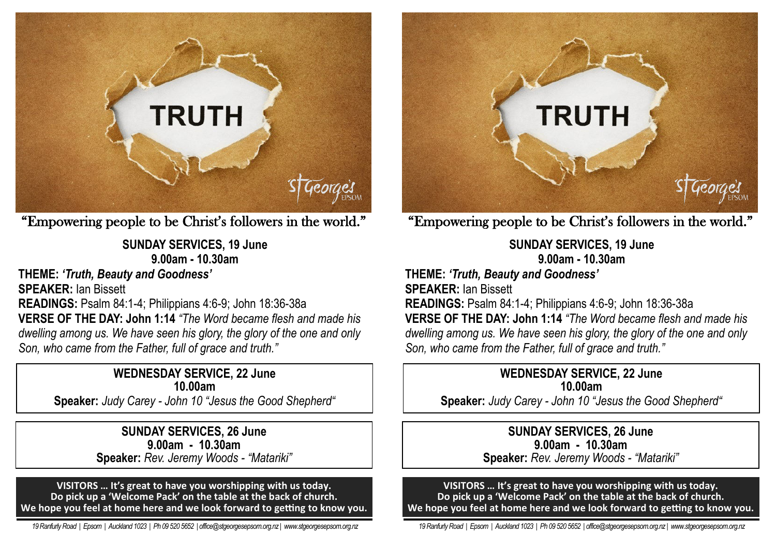

"Empowering people to be Christ's followers in the world."

**SUNDAY SERVICES, 19 June 9.00am - 10.30am** 

**THEME:** *'Truth, Beauty and Goodness'*

**SPEAKER:** Ian Bissett

**READINGS:** Psalm 84:1-4; Philippians 4:6-9; John 18:36-38a **VERSE OF THE DAY: John 1:14** *"The Word became flesh and made his dwelling among us. We have seen his glory, the glory of the one and only Son, who came from the Father, full of grace and truth."*

### **WEDNESDAY SERVICE, 22 June 10.00am**

**Speaker:** *Judy Carey - John 10 "Jesus the Good Shepherd"*

**SUNDAY SERVICES, 26 June 9.00am - 10.30am Speaker:** *Rev. Jeremy Woods - "Matariki"*

**VISITORS … It's great to have you worshipping with us today. Do pick up a 'Welcome Pack' on the table at the back of church. We hope you feel at home here and we look forward to getting to know you.**

 *19 Ranfurly Road | Epsom | Auckland 1023 | Ph 09 520 5652 | office@stgeorgesepsom.org.nz | www.stgeorgesepsom.org.nz* 



"Empowering people to be Christ's followers in the world."

**SUNDAY SERVICES, 19 June 9.00am - 10.30am** 

**THEME:** *'Truth, Beauty and Goodness'* **SPEAKER:** Ian Bissett **READINGS:** Psalm 84:1-4; Philippians 4:6-9; John 18:36-38a **VERSE OF THE DAY: John 1:14** *"The Word became flesh and made his dwelling among us. We have seen his glory, the glory of the one and only Son, who came from the Father, full of grace and truth."*

### **WEDNESDAY SERVICE, 22 June 10.00am**

**Speaker:** *Judy Carey - John 10 "Jesus the Good Shepherd"*

**SUNDAY SERVICES, 26 June 9.00am - 10.30am Speaker:** *Rev. Jeremy Woods - "Matariki"*

**VISITORS … It's great to have you worshipping with us today. Do pick up a 'Welcome Pack' on the table at the back of church. We hope you feel at home here and we look forward to getting to know you.**